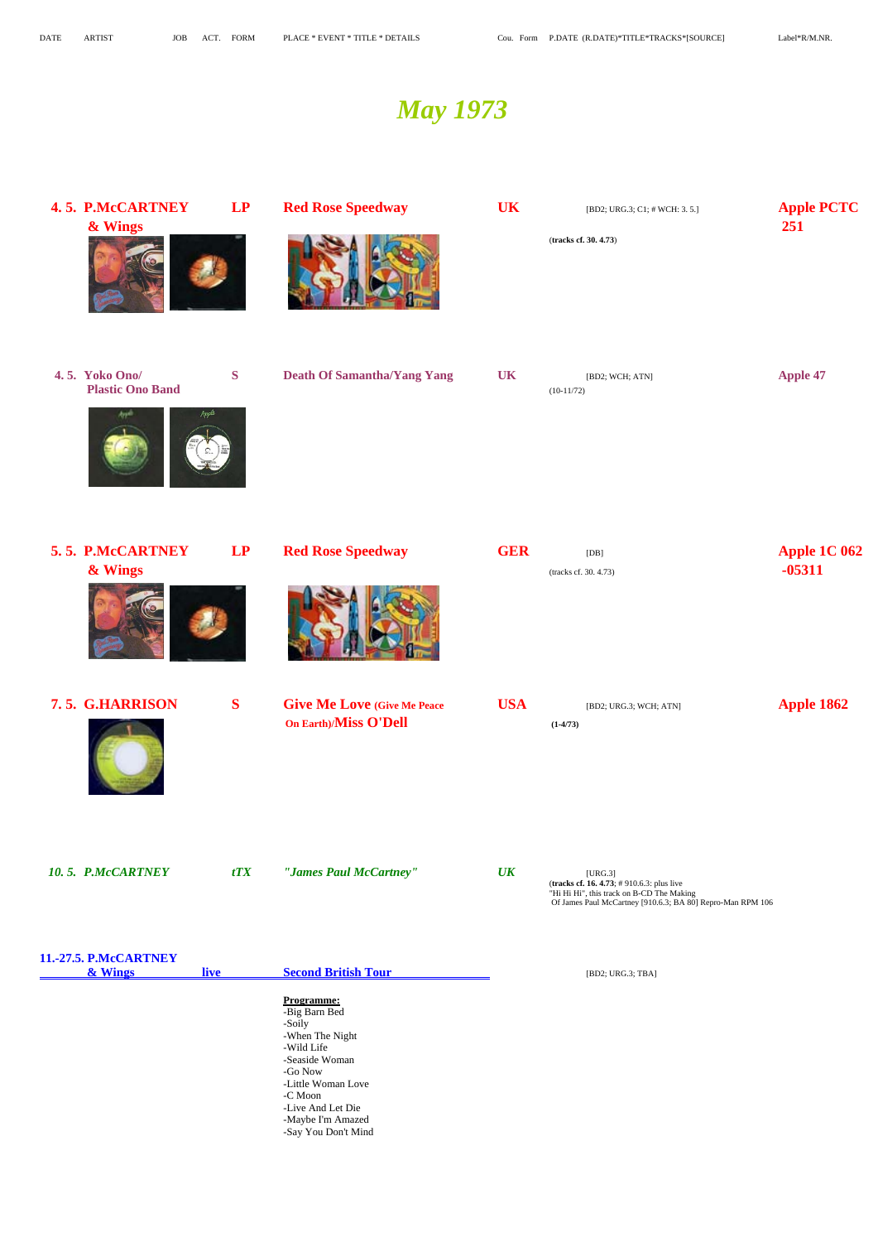## **4. 5. P.McCARTNEY LP Red Rose Speedway <b>UK IBD2**; URG.3; C1; # WCH: 3. 5.] **Apple PCTC & Wings 251**







## **4. 5. Yoko Ono/** S Death Of Samantha/Yang Yang UK **[BD2; WCH; ATN]** Apple 47 **Plastic Ono Band** (10-11/72)

## *May 1973*

(**tracks cf. 30. 4.73**)







 **7. 5. G.HARRISON** S Give Me Love (Give Me Peace USA IBD2; URG.3; WCH; ATN] Apple 1862  **On Earth)/Miss O'Dell (1-4/73)**

# **5. 5. P.McCARTNEY LP** Red Rose Speedway **GER COMPANY Apple 1C 062 & Wings**  $\bullet$  **-05311**  $\bullet$



 (**tracks cf. 16. 4.73**; # 910.6.3: plus live "Hi Hi Hi", this track on B-CD The Making Of James Paul McCartney [910.6.3; BA 80] Repro-Man RPM 106

*10. 5. P.McCARTNEY tTX "James Paul McCartney" UK [URG.3]* 

**& Wings live Second British Tour CONDENSITY** [BD2; URG.3; TBA]

 **Programme:** -Big Barn Bed -Soily -When The Night -Wild Life -Seaside Woman -Go Now -Little Woman Love -C Moon -Live And Let Die -Maybe I'm Amazed -Say You Don't Mind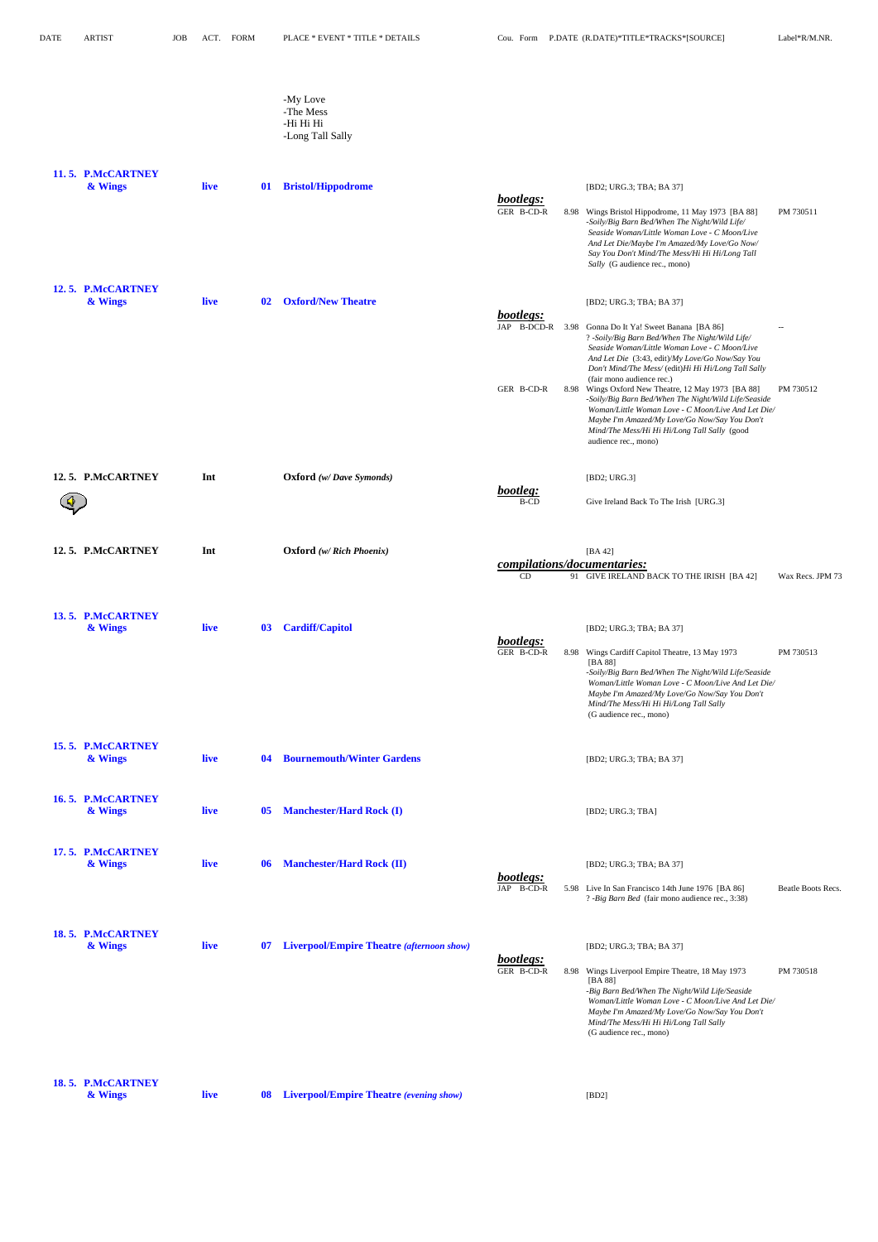-My Love -The Mess -Hi Hi Hi -Long Tall Sally

| 11.5. P.McCARTNEY<br>& Wings | live | <b>Bristol/Hippodrome</b><br>01         | [BD2; URG.3; TBA; BA 37]<br>bootlegs:<br>GER B-CD-R<br>8.98 Wings Bristol Hippodrome, 11 May 1973 [BA 88]<br>PM 730511<br>-Soily/Big Barn Bed/When The Night/Wild Life/<br>Seaside Woman/Little Woman Love - C Moon/Live<br>And Let Die/Maybe I'm Amazed/My Love/Go Now/<br>Say You Don't Mind/The Mess/Hi Hi Hi/Long Tall                                                                                                                                                                                                                                                                                                                                                                                |
|------------------------------|------|-----------------------------------------|-----------------------------------------------------------------------------------------------------------------------------------------------------------------------------------------------------------------------------------------------------------------------------------------------------------------------------------------------------------------------------------------------------------------------------------------------------------------------------------------------------------------------------------------------------------------------------------------------------------------------------------------------------------------------------------------------------------|
| 12.5. P.McCARTNEY<br>& Wings | live | <b>Oxford/New Theatre</b><br>02         | Sally (G audience rec., mono)<br>[BD2; URG.3; TBA; BA 37]<br>bootlegs:<br>JAP B-DCD-R 3.98 Gonna Do It Ya! Sweet Banana [BA 86]<br>$-$<br>? -Soily/Big Barn Bed/When The Night/Wild Life/<br>Seaside Woman/Little Woman Love - C Moon/Live<br>And Let Die (3:43, edit)/My Love/Go Now/Say You<br>Don't Mind/The Mess/ (edit)Hi Hi Hi/Long Tall Sally<br>(fair mono audience rec.)<br>GER B-CD-R<br>8.98 Wings Oxford New Theatre, 12 May 1973 [BA 88]<br>PM 730512<br>-Soily/Big Barn Bed/When The Night/Wild Life/Seaside<br>Woman/Little Woman Love - C Moon/Live And Let Die/<br>Maybe I'm Amazed/My Love/Go Now/Say You Don't<br>Mind/The Mess/Hi Hi Hi/Long Tall Sally (good<br>audience rec., mono) |
| 12.5. P.McCARTNEY            | Int  | <b>Oxford</b> (w/Dave Symonds)          | [BD2; URG.3]<br>bootleg:<br><b>B-CD</b><br>Give Ireland Back To The Irish [URG.3]                                                                                                                                                                                                                                                                                                                                                                                                                                                                                                                                                                                                                         |
| 12.5. P.McCARTNEY            | Int  | <b>Oxford</b> (w/ Rich Phoenix)         | [BA $42$ ]<br>compilations/documentaries:<br>CD<br>91 GIVE IRELAND BACK TO THE IRISH [BA 42]<br>Wax Recs. JPM 73                                                                                                                                                                                                                                                                                                                                                                                                                                                                                                                                                                                          |
| 13.5. P.McCARTNEY<br>& Wings | live | <b>Cardiff/Capitol</b><br>$\mathbf{03}$ | [BD2; URG.3; TBA; BA 37]<br>bootlegs:<br>GER B-CD-R<br>8.98 Wings Cardiff Capitol Theatre, 13 May 1973<br>PM 730513<br>[BA 88]<br>-Soily/Big Barn Bed/When The Night/Wild Life/Seaside<br>Woman/Little Woman Love - C Moon/Live And Let Die/<br>Maybe I'm Amazed/My Love/Go Now/Say You Don't<br>Mind/The Mess/Hi Hi Hi/Long Tall Sally<br>(G audience rec., mono)                                                                                                                                                                                                                                                                                                                                        |
| 15.5. P.McCARTNEY<br>& Wings | live | <b>Bournemouth/Winter Gardens</b><br>04 | [BD2; URG.3; TBA; BA 37]                                                                                                                                                                                                                                                                                                                                                                                                                                                                                                                                                                                                                                                                                  |
| 16.5. P.McCARTNEY<br>& Wings | live | <b>Manchester/Hard Rock (I)</b><br>05   | [BD2; URG.3; TBA]                                                                                                                                                                                                                                                                                                                                                                                                                                                                                                                                                                                                                                                                                         |
| 17.5. P.McCARTNEY<br>& Wings | live | <b>Manchester/Hard Rock (II)</b><br>-06 | [BD2; URG.3; TBA; BA 37]<br>bootlegs:<br>JAP B-CD-R<br>5.98 Live In San Francisco 14th June 1976 [BA 86]<br>Beatle Boots Recs.                                                                                                                                                                                                                                                                                                                                                                                                                                                                                                                                                                            |

? *-Big Barn Bed* (fair mono audience rec., 3:38)

| & Wings                      | live | 07 | <b>Liverpool/Empire Theatre (afternoon show)</b> |                         |      | [BD2; URG.3; TBA; BA 37]                                                                                                                                                                                                                                                                          |
|------------------------------|------|----|--------------------------------------------------|-------------------------|------|---------------------------------------------------------------------------------------------------------------------------------------------------------------------------------------------------------------------------------------------------------------------------------------------------|
|                              |      |    |                                                  | bootlegs:<br>GER B-CD-R | 8.98 | Wings Liverpool Empire Theatre, 18 May 1973<br>PM 730518<br>[BA 88]<br>-Big Barn Bed/When The Night/Wild Life/Seaside<br>Woman/Little Woman Love - C Moon/Live And Let Die/<br>Maybe I'm Amazed/My Love/Go Now/Say You Don't<br>Mind/The Mess/Hi Hi Hi/Long Tall Sally<br>(G audience rec., mono) |
| 18.5. P.McCARTNEY<br>& Wings | live | 08 | <b>Liverpool/Empire Theatre (evening show)</b>   |                         |      | [BD2]                                                                                                                                                                                                                                                                                             |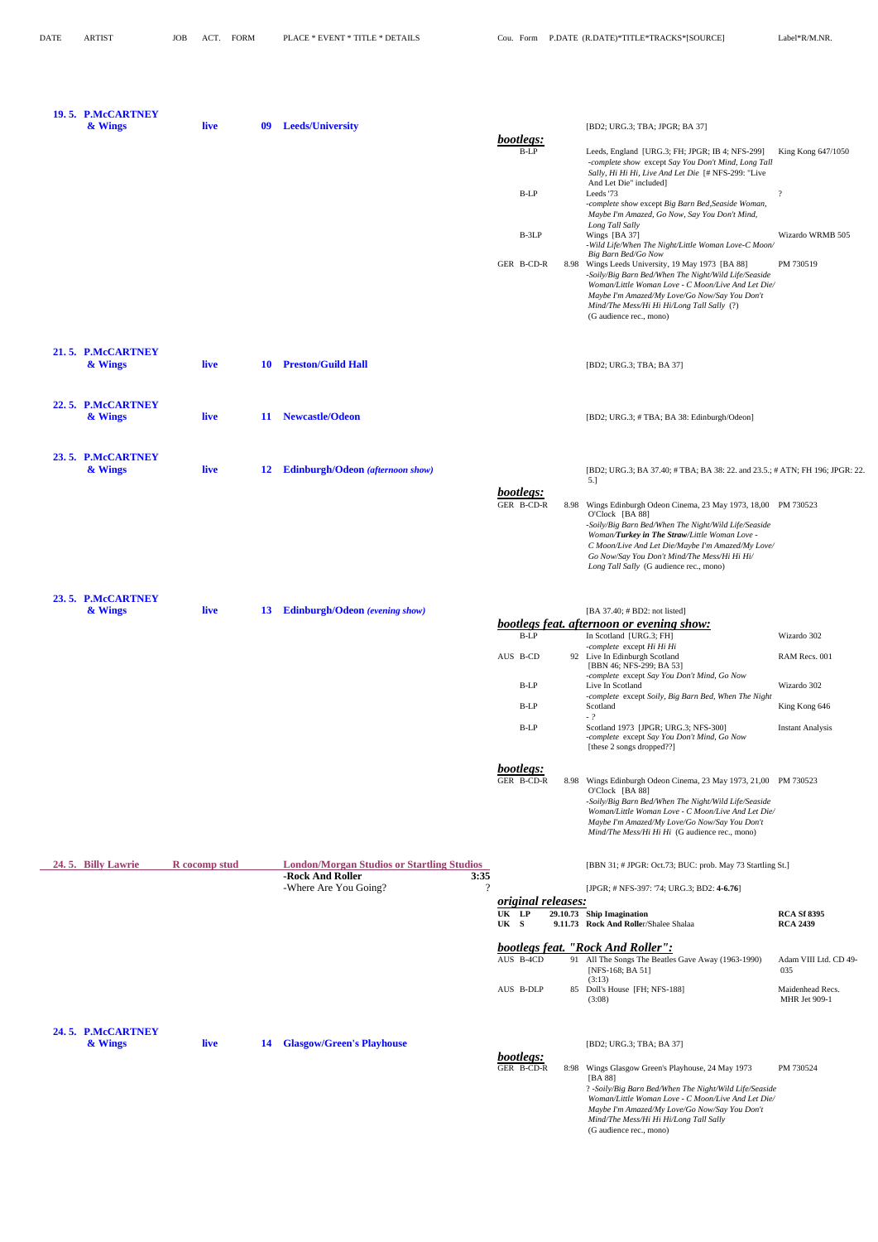| 19.5. P.McCARTNEY<br>& Wings | live          | 09 | <b>Leeds/University</b>                           |                                    | [BD2; URG.3; TBA; JPGR; BA 37]                                                                                                                                                                                                                                                           |                         |
|------------------------------|---------------|----|---------------------------------------------------|------------------------------------|------------------------------------------------------------------------------------------------------------------------------------------------------------------------------------------------------------------------------------------------------------------------------------------|-------------------------|
|                              |               |    |                                                   | bootlegs:                          |                                                                                                                                                                                                                                                                                          |                         |
|                              |               |    |                                                   | $B-LP$                             | Leeds, England [URG.3; FH; JPGR; IB 4; NFS-299]<br>-complete show except Say You Don't Mind, Long Tall<br>Sally, Hi Hi Hi, Live And Let Die [# NFS-299: "Live<br>And Let Die" included]                                                                                                  | King Kong 647/1050      |
|                              |               |    |                                                   | $\operatorname{B-LP}$              | Leeds '73                                                                                                                                                                                                                                                                                | $\gamma$                |
|                              |               |    |                                                   |                                    | -complete show except Big Barn Bed, Seaside Woman,<br>Maybe I'm Amazed, Go Now, Say You Don't Mind,                                                                                                                                                                                      |                         |
|                              |               |    |                                                   | $B-3LP$                            | Long Tall Sally<br>Wings [BA 37]<br>-Wild Life/When The Night/Little Woman Love-C Moon/<br>Big Barn Bed/Go Now                                                                                                                                                                           | Wizardo WRMB 505        |
|                              |               |    |                                                   | GER B-CD-R                         | 8.98 Wings Leeds University, 19 May 1973 [BA 88]<br>-Soily/Big Barn Bed/When The Night/Wild Life/Seaside<br>Woman/Little Woman Love - C Moon/Live And Let Die/<br>Maybe I'm Amazed/My Love/Go Now/Say You Don't<br>Mind/The Mess/Hi Hi Hi/Long Tall Sally (?)<br>(G audience rec., mono) | PM 730519               |
| 21.5. P.McCARTNEY<br>& Wings | live          | 10 | <b>Preston/Guild Hall</b>                         |                                    | [BD2; URG.3; TBA; BA 37]                                                                                                                                                                                                                                                                 |                         |
| 22.5. P.McCARTNEY            |               |    |                                                   |                                    |                                                                                                                                                                                                                                                                                          |                         |
| & Wings                      | live          | 11 | <b>Newcastle/Odeon</b>                            |                                    | [BD2; URG.3; #TBA; BA 38: Edinburgh/Odeon]                                                                                                                                                                                                                                               |                         |
| 23.5. P.McCARTNEY<br>& Wings | live          | 12 | Edinburgh/Odeon (afternoon show)                  |                                    |                                                                                                                                                                                                                                                                                          |                         |
|                              |               |    |                                                   |                                    | [BD2; URG.3; BA 37.40; #TBA; BA 38: 22. and 23.5.; # ATN; FH 196; JPGR: 22.<br>5.]                                                                                                                                                                                                       |                         |
|                              |               |    |                                                   | bootlegs:<br>GER B-CD-R            | 8.98 Wings Edinburgh Odeon Cinema, 23 May 1973, 18,00 PM 730523<br>O'Clock [BA 88]<br>-Soily/Big Barn Bed/When The Night/Wild Life/Seaside                                                                                                                                               |                         |
|                              |               |    |                                                   |                                    | Woman/Turkey in The Straw/Little Woman Love -<br>C Moon/Live And Let Die/Maybe I'm Amazed/My Love/<br>Go Now/Say You Don't Mind/The Mess/Hi Hi Hi/<br>Long Tall Sally (G audience rec., mono)                                                                                            |                         |
| 23.5. P.McCARTNEY            |               |    |                                                   |                                    |                                                                                                                                                                                                                                                                                          |                         |
| & Wings                      | live          | 13 | <b>Edinburgh/Odeon</b> (evening show)             |                                    | [BA 37.40; # BD2: not listed]                                                                                                                                                                                                                                                            |                         |
|                              |               |    |                                                   | $B-LP$                             | bootlegs feat. afternoon or evening show:<br>In Scotland [URG.3; FH]                                                                                                                                                                                                                     | Wizardo 302             |
|                              |               |    |                                                   | AUS B-CD                           | -complete except Hi Hi Hi<br>92 Live In Edinburgh Scotland                                                                                                                                                                                                                               | RAM Recs. 001           |
|                              |               |    |                                                   |                                    | [BBN 46; NFS-299; BA 53]<br>-complete except Say You Don't Mind, Go Now                                                                                                                                                                                                                  |                         |
|                              |               |    |                                                   | B-LP                               | Live In Scotland<br>-complete except Soily, Big Barn Bed, When The Night                                                                                                                                                                                                                 | Wizardo 302             |
|                              |               |    |                                                   | $B-LP$                             | Scotland<br>$-$ ?                                                                                                                                                                                                                                                                        | King Kong 646           |
|                              |               |    |                                                   | $B-LP$                             | Scotland 1973 [JPGR; URG.3; NFS-300]<br>-complete except Say You Don't Mind, Go Now<br>[these 2 songs dropped??]                                                                                                                                                                         | <b>Instant Analysis</b> |
|                              |               |    |                                                   | bootlegs:<br>GER B-CD-R            | 8.98 Wings Edinburgh Odeon Cinema, 23 May 1973, 21,00 PM 730523                                                                                                                                                                                                                          |                         |
|                              |               |    |                                                   |                                    | O'Clock [BA 88]<br>-Soily/Big Barn Bed/When The Night/Wild Life/Seaside<br>Woman/Little Woman Love - C Moon/Live And Let Die/<br>Maybe I'm Amazed/My Love/Go Now/Say You Don't<br>Mind/The Mess/Hi Hi Hi (G audience rec., mono)                                                         |                         |
| 24.5. Billy Lawrie           | R cocomp stud |    | <b>London/Morgan Studios or Startling Studios</b> |                                    | [BBN 31; # JPGR: Oct.73; BUC: prob. May 73 Startling St.]                                                                                                                                                                                                                                |                         |
|                              |               |    | -Rock And Roller<br>3:35                          |                                    |                                                                                                                                                                                                                                                                                          |                         |
|                              |               |    | $\gamma$<br>-Where Are You Going?                 |                                    | [JPGR; # NFS-397: '74; URG.3; BD2: 4-6.76]                                                                                                                                                                                                                                               |                         |
|                              |               |    |                                                   | <i>original releases:</i><br>UK LP | 29.10.73 Ship Imagination                                                                                                                                                                                                                                                                | <b>RCA Sf 8395</b>      |
|                              |               |    |                                                   |                                    |                                                                                                                                                                                                                                                                                          |                         |

**UK S 9.11.73 Rock And Rolle**r/Shalee Shalaa **RCA 2439**

|                              |             |                                        | bootlegs feat. "Rock And Roller":<br>AUS B-4CD<br>91 All The Songs The Beatles Gave Away (1963-1990)<br>Adam VIII Ltd. CD 49-<br>[NFS-168; BA 51]<br>035                                                                                                                                                                                   |  |
|------------------------------|-------------|----------------------------------------|--------------------------------------------------------------------------------------------------------------------------------------------------------------------------------------------------------------------------------------------------------------------------------------------------------------------------------------------|--|
|                              |             |                                        | (3:13)<br>AUS B-DLP<br>Maidenhead Recs.<br>85 Doll's House [FH; NFS-188]<br><b>MHR</b> Jet 909-1<br>(3:08)                                                                                                                                                                                                                                 |  |
| 24.5. P.McCARTNEY<br>& Wings | <b>live</b> | <b>Glasgow/Green's Playhouse</b><br>14 | [BD2; URG.3; TBA; BA 37]                                                                                                                                                                                                                                                                                                                   |  |
|                              |             |                                        | bootlegs:<br>GER B-CD-R<br>PM 730524<br>8:98 Wings Glasgow Green's Playhouse, 24 May 1973<br>[BA 88]<br>? -Soily/Big Barn Bed/When The Night/Wild Life/Seaside<br>Woman/Little Woman Love - C Moon/Live And Let Die/<br>Maybe I'm Amazed/My Love/Go Now/Say You Don't<br>Mind/The Mess/Hi Hi Hi/Long Tall Sally<br>(G audience rec., mono) |  |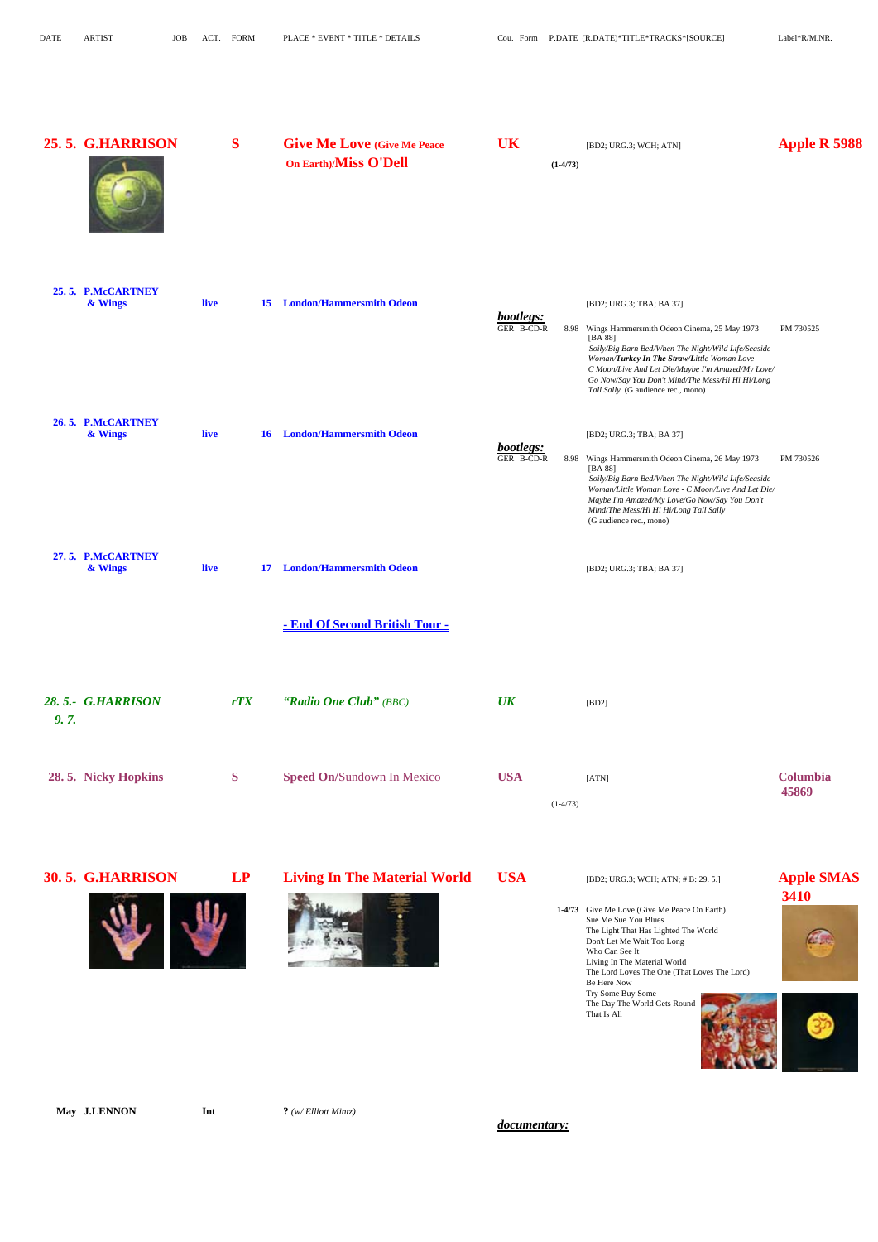|      | 25.5. G.HARRISON             | S    |     | <b>Give Me Love (Give Me Peace)</b><br>On Earth)/Miss O'Dell      | <b>UK</b>               | $(1-4/73)$ | [BD2; URG.3; WCH; ATN]                                                                                                                                                                                                                                                                                                                          | Apple R 5988              |
|------|------------------------------|------|-----|-------------------------------------------------------------------|-------------------------|------------|-------------------------------------------------------------------------------------------------------------------------------------------------------------------------------------------------------------------------------------------------------------------------------------------------------------------------------------------------|---------------------------|
|      | 25.5. P.McCARTNEY<br>& Wings | live |     | <b>15</b> London/Hammersmith Odeon                                | bootlegs:<br>GER B-CD-R |            | [BD2; URG.3; TBA; BA 37]<br>8.98 Wings Hammersmith Odeon Cinema, 25 May 1973<br>[BA 88]<br>-Soily/Big Barn Bed/When The Night/Wild Life/Seaside<br>Woman/Turkey In The Straw/Little Woman Love -<br>C Moon/Live And Let Die/Maybe I'm Amazed/My Love/<br>Go Now/Say You Don't Mind/The Mess/Hi Hi Hi/Long<br>Tall Sally (G audience rec., mono) | PM 730525                 |
|      | 26.5. P.McCARTNEY<br>& Wings | live |     | <b>16</b> London/Hammersmith Odeon                                | bootlegs:<br>GER B-CD-R |            | [BD2; URG.3; TBA; BA 37]<br>8.98 Wings Hammersmith Odeon Cinema, 26 May 1973<br>[BA 88]<br>-Soily/Big Barn Bed/When The Night/Wild Life/Seaside<br>Woman/Little Woman Love - C Moon/Live And Let Die/<br>Maybe I'm Amazed/My Love/Go Now/Say You Don't<br>Mind/The Mess/Hi Hi Hi/Long Tall Sally<br>(G audience rec., mono)                     | PM 730526                 |
|      | 27.5. P.McCARTNEY<br>& Wings | live | 17  | <b>London/Hammersmith Odeon</b><br>- End Of Second British Tour - |                         |            | [BD2; URG.3; TBA; BA 37]                                                                                                                                                                                                                                                                                                                        |                           |
| 9.7. | 28.5.- G.HARRISON            |      | rTX | "Radio One Club" (BBC)                                            | $\overline{UK}$         |            | [BD2]                                                                                                                                                                                                                                                                                                                                           |                           |
|      | 28.5. Nicky Hopkins          | S    |     | Speed On/Sundown In Mexico                                        | <b>USA</b>              | $(1-4/73)$ | [ATN]                                                                                                                                                                                                                                                                                                                                           | Columbia<br>45869         |
|      | 30.5. G.HARRISON             |      | LP  | <b>Living In The Material World</b>                               | <b>USA</b>              |            | [BD2; URG.3; WCH; ATN; #B: 29.5.]<br>1-4/73 Give Me Love (Give Me Peace On Earth)<br>Sue Me Sue You Blues                                                                                                                                                                                                                                       | <b>Apple SMAS</b><br>3410 |





The Light That Has Lighted The World

 Living In The Material World The Lord Loves The One (That Loves The Lord) Be Here Now

 Try Some Buy Some The Day The World Gets Round That Is All







### **May J.LENNON Int**  $?$  *(w/ Elliott Mintz)*

 *documentary:*